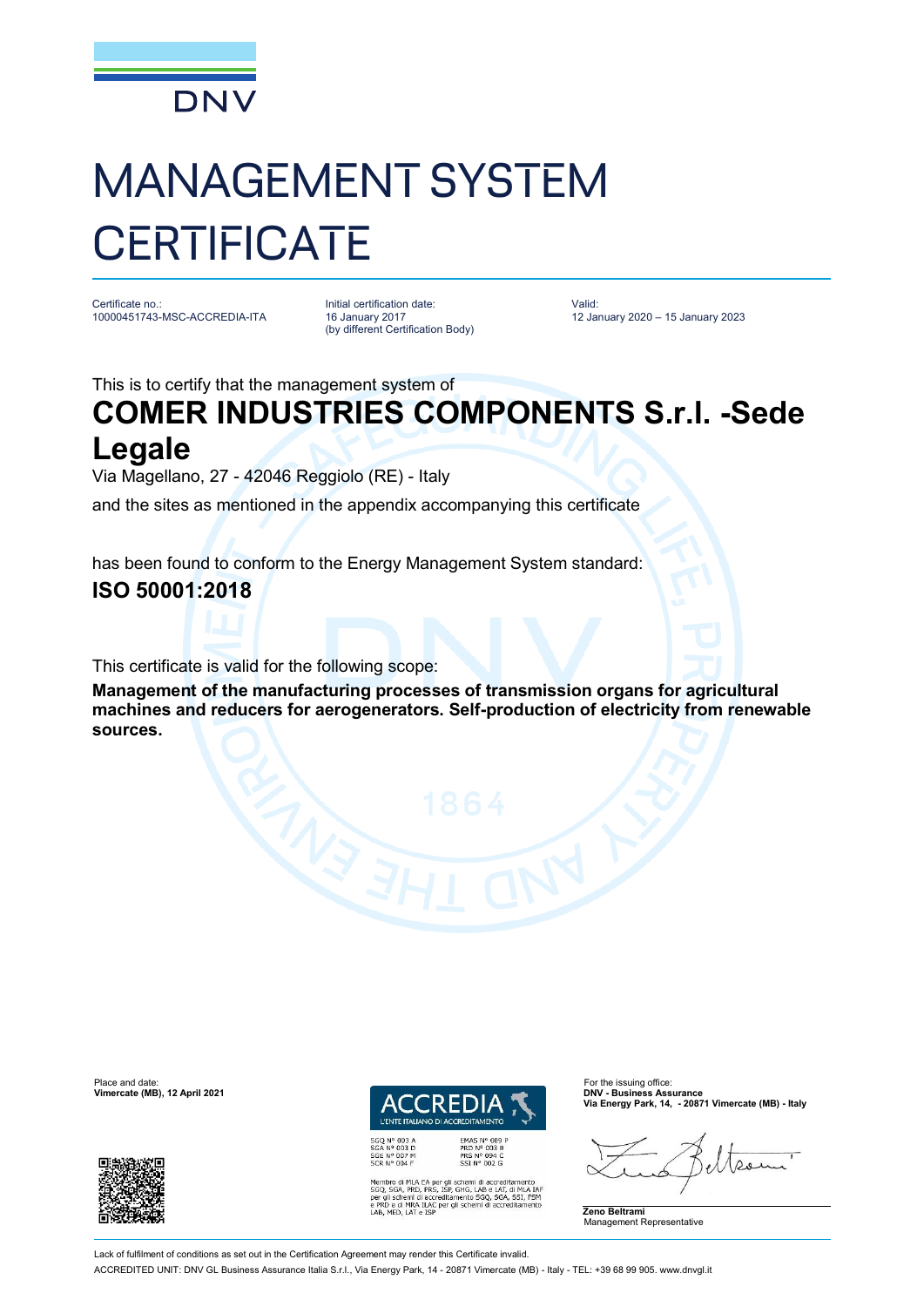

# MANAGEMENT SYSTEM **CERTIFICATE**

Certificate no.: 10000451743-MSC-ACCREDIA-ITA

Initial certification date: 16 January 2017 (by different Certification Body) Valid: 12 January 2020 – 15 January 2023

This is to certify that the management system of

## **COMER INDUSTRIES COMPONENTS S.r.l. -Sede Legale**

Via Magellano, 27 - 42046 Reggiolo (RE) - Italy

and the sites as mentioned in the appendix accompanying this certificate

has been found to conform to the Energy Management System standard:

### **ISO 50001:2018**

This certificate is valid for the following scope:

**Management of the manufacturing processes of transmission organs for agricultural machines and reducers for aerogenerators. Self-production of electricity from renewable sources.**



EMAS N° 009<br>PRD N° 003 B<br>PRS N° 094 C<br>SSI N° 002 G Membro di MLA EA per gli schemi di accreditamento<br>SGO, SGA, PRD, PRS, ISP, GHG, LAB e LAT, di MLA IAT<br>per gli schemi di accreditamento SGO, SGA, SSI, FSM<br>e PRD e di MRA ILAC per gli schemi di accreditamento<br>LAB, MED, LAT e **Via Energy Park, 14, - 20871 Vimercate (MB) - Italy**



Place and date: For the issuing office:<br> **Place and date:** For the issuing office:<br> **Place and the interval of the issuing office:** For the issuing office:<br> **Place and the interval of the issuing office: Vimercate (MB), 12 April 2021** 



Lack of fulfilment of conditions as set out in the Certification Agreement may render this Certificate invalid

ACCREDITED UNIT: DNV GL Business Assurance Italia S.r.l., Via Energy Park, 14 - 20871 Vimercate (MB) - Italy - TEL: +39 68 99 905. [www.dnvgl.it](http://www.dnvgl.it)